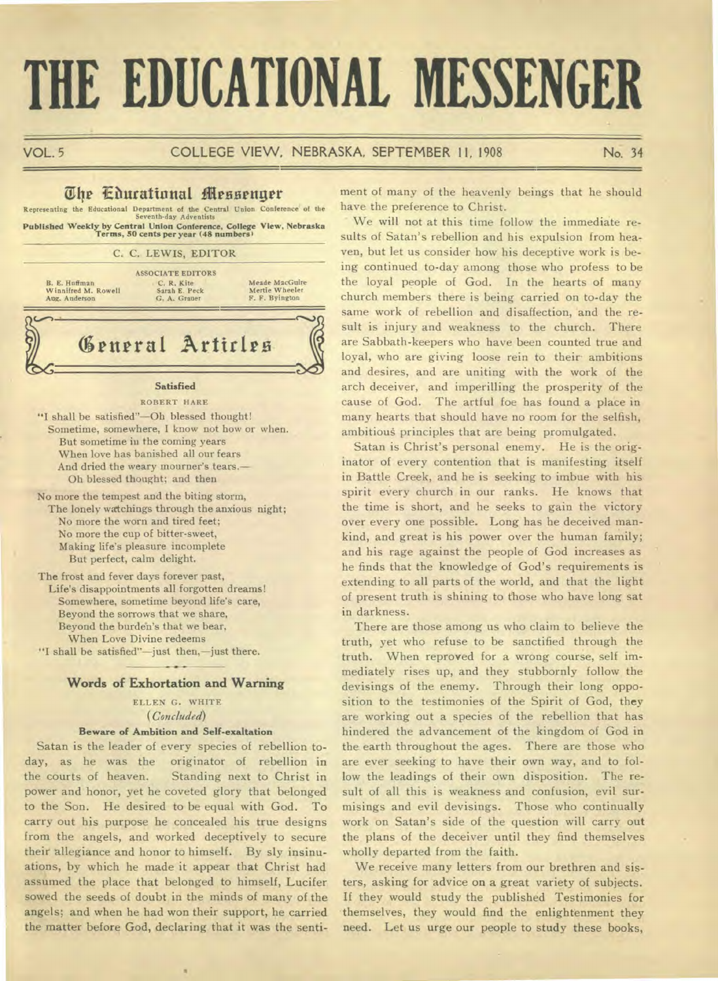# **THE EDUCATIONAL MESSENGER**

## VOL. 5 COLLEGE VIEW, NEBRASKA, SEPTEMBER 11, 1908 No. 34

# **The Educational Messenger**

Representing the Educational Department of the Central Union Conference of the Seventh-day Adventists **Published Weekly by Central Union Conference, College View, Nebraska Terms, 50 cents per year (48 numbers)** 

| B. E. Huffman<br>Winnifred M. Rowell<br>Aug. Anderson | <b>ASSOCIATE EDITORS</b><br>C. R. Kite<br>Sarah E. Peck<br>G. A. Grauer | Meade MacGuire<br>Mertie Wheeler<br>F. F. Byington |
|-------------------------------------------------------|-------------------------------------------------------------------------|----------------------------------------------------|
|                                                       |                                                                         |                                                    |
|                                                       | General Articles                                                        |                                                    |

"I shall be satisfied"—Oh blessed thought! Sometime, somewhere, I know not how or when. But sometime in the coming years When love has banished all our fears And dried the weary mourner's tears.— Oh blessed thought; and then

No more the tempest and the biting storm, The lonely watchings through the anxious night; No more the worn and tired feet; No more the cup of bitter-sweet, Making life's pleasure incomplete But perfect, calm delight.

The frost and fever days forever past, Life's disappointments all forgotten dreams! Somewhere, sometime beyond life's care, Beyond the sorrows that we share, Beyond the burden's that we bear, When Love Divine redeems "I shall be satisfied"—just then,—just there.

 $\sim$ 

## **Words of Exhortation and Warning**

ELLEN G. WHITE *(Concluded)* 

## **Beware of Ambition and Self-exaltation**

Satan is the leader of every species of rebellion today, as he was the originator of rebellion in the courts of heaven. Standing next to Christ in power and honor, yet he coveted glory that belonged to the Son. He desired to be equal with God. To carry out his purpose he concealed his true designs from the angels, and worked deceptively to secure their allegiance and honor to himself. By sly insinuations, by which he made it appear that Christ had assumed the place that belonged to himself, Lucifer sowed the seeds of doubt in the minds of many of the angels; and when he had won their support, he carried the matter before God, declaring that it was the senti-

٠

ment of many of the heavenly beings that he should have the preference to Christ.

We will not at this time follow the immediate results of Satan's rebellion and his expulsion from heaven, but let us consider how his deceptive work is being continued to-day among those who profess to be the loyal people of God. In the hearts of many church members there is being carried on to-day the same work of rebellion and disaffection, and the result is injury and weakness to the church. There are Sabbath-keepers who have been counted true and loyal, who are giving loose rein to their ambitions and desires, and are uniting with the work of the arch deceiver, and imperilling the prosperity of the cause of God. The artful foe has found a place in many hearts that should have no room for the selfish, ambitious principles that are being promulgated.

Satan is Christ's personal enemy. He is the originator of every contention that is manifesting itself in Battle Creek, and he is seeking to imbue with his spirit every church in our ranks. He knows that the time is short, and he seeks to gain the victory over every one possible. Long has he deceived mankind, and great is his power over the human family; and his rage against the people of God increases as he finds that the knowledge of God's requirements is extending to all parts of the world, and that the light of present truth is shining to those who have long sat in darkness.

There are those among us who claim to believe the truth, yet who refuse to be sanctified through the truth. When reproved for a wrong course, self immediately rises up, and they stubbornly follow the devisings of the enemy. Through their long opposition to the testimonies of the Spirit of God, they are working out a species of the rebellion that has hindered the advancement of the kingdom of God in the earth throughout the ages. There are those who are ever seeking to have their own way, and to follow the leadings of their own disposition. The result of all this is weakness and confusion, evil surmisings and evil devisings. Those who continually work on Satan's side of the question will carry out the plans of the deceiver until they find themselves wholly departed from the faith.

We receive many letters from our brethren and sisters, asking for advice on a great variety of subjects. If they would study the published Testimonies for themselves, they would find the enlightenment they need. Let us urge our people to study these books,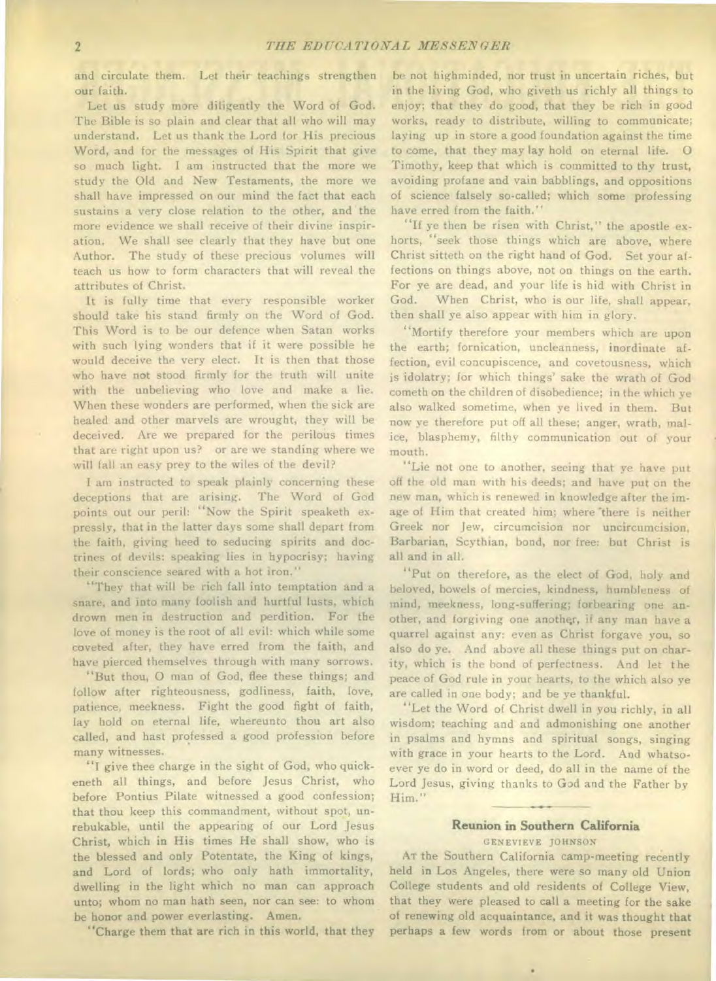and circulate them. Let their teachings strengthen our faith.

Let us study more diligently the Word of God. The Bible is so plain and clear that all who will may understand. Let us thank the Lord tor His precious Word, and for the messages of His Spirit that give so much light. I am instructed that the more we study the Old and New Testaments, the more we shall have impressed on our mind the fact that each sustains a very close relation to the other, and the more evidence we shall receive of their divine inspiration. We shall see clearly that they have but one Author. The study of these precious volumes will teach us how to form characters that will reveal the attributes of Christ.

It is fully time that every responsible worker should take his stand firmly on the Word of God. This Word is to be our defence when Satan works with such lying wonders that if it were possible he would deceive the very elect. It is then that those who have not stood firmly for the truth will unite with the unbelieving who love and make a lie. When these wonders are performed, when the sick are healed and other marvels are wrought, they will be deceived. Are we prepared for the perilous times that are right upon us? or are we standing where we will fall an easy prey to the wiles of the devil?

I am instructed to speak plainly concerning these deceptions that are arising. The Word of God points out our peril: "Now the Spirit speaketh expressly, that in the latter days some shall depart from the faith, giving heed to seducing spirits and doctrines of devils: speaking lies in hypocrisy; having their conscience seared with a hot iron."

"They that will be rich fall into temptation and a snare, and into many foolish and hurtful lusts, which drown men in destruction and perdition. For the love of money is the root of all evil: which while some coveted after, they have erred from the faith, and have pierced themselves through with many sorrows.

"But thou, 0 man of God, flee these things; and follow after righteousness, godliness, faith, love, patience, meekness. Fight the good fight of faith, lay hold on eternal life, whereunto thou art also called, and hast professed a good profession before many witnesses.

"I give thee charge in the sight of God, who quickeneth all things, and before Jesus Christ, who before Pontius Pilate witnessed a good confession; that thou keep this commandment, without spot, unrebukable, until the appearing of our Lord Jesus Christ, which in His times He shall show, who is the blessed and only Potentate, the King of kings, and Lord of lords; who only hath immortality, dwelling in the light which no man can approach unto; whom no man bath seen, nor can see: to whom be honor and power everlasting. Amen.

"Charge them that are rich in this world, that they

be not highminded, nor trust in uncertain riches, but in the living God, who giveth us richly all things to enjoy; that they do good, that they be rich in good works, ready to distribute, willing to communicate; laying up in store a good foundation against the time to come, that they may lay hold on eternal life. 0 Timothy, keep that which is committed to thy trust, avoiding profane and vain babblings, and oppositions of science falsely so-called; which some professing have erred from the faith."

"If ye then be risen with Christ," the apostle exhorts, "seek those things which are above, where Christ sitteth on the right hand of God. Set your affections on things above, not on things on the earth. For ye are dead, and your life is hid with Christ in God. When Christ, who is our life, shall appear, then shall ye also appear with him in glory.

"Mortify therefore your members which are upon the earth; fornication, uncleanness, inordinate affection, evil concupiscence, and covetousness, which is idolatry; for which things' sake the wrath of God cometh on the children of disobedience; in the which ye also walked sometime, when ye lived in them. But now ye therefore put off all these; anger, wrath, malice, blasphemy, filthy communication out of your mouth.

"Lie not one to another, seeing that ye have put off the old man with his deeds; and have put on the new man, which is renewed in knowledge after the image of Him that created him; where 'there is neither Greek nor Jew, circumcision nor uncircumcision, Barbarian, Scythian, bond, nor free: but Christ is all and in all.

"Put on therefore, as the elect of God, holy and beloved, bowels of mercies, kindness, humbleness of mind, meekness, long-suffering; forbearing one another, and forgiving one another, if any man have a quarrel against any: even as Christ forgave you, so also do ye. And above all these things put on charity, which is the bond of perfectness. And let the peace of God rule in your hearts, to the which also ye are called in one body; and be ye thankful.

"Let the Word of Christ dwell in you richly, in all wisdom; teaching and and admonishing one another in psalms and hymns and spiritual songs, singing with grace in your hearts to the Lord. And whatsoever ye do in word or deed, do all in the name of the Lord Jesus, giving thanks to God and the Father by Him."

# **Reunion in Southern California**

GENEVIEVE JOHNSON

AT the Southern California camp-meeting recently held in Los Angeles, there were so many old Union College students and old residents of College View, that they were pleased to call a meeting for the sake of renewing old acquaintance, and it was thought that perhaps a few words from or about those present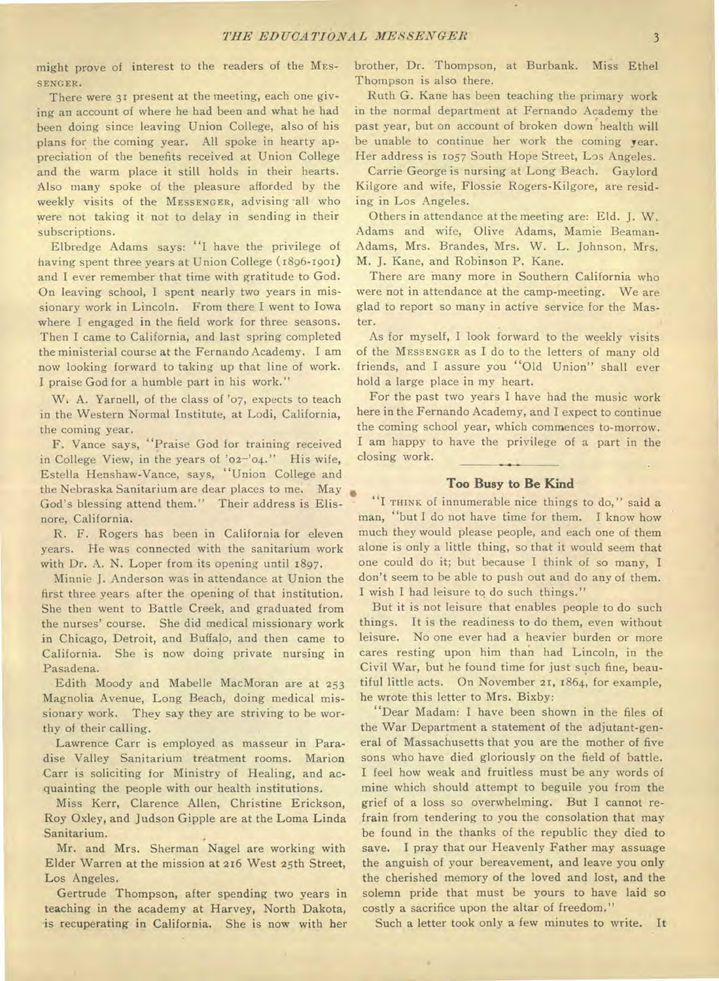might prove of interest to the readers of the MES-SENGER.

There were 31 present at the meeting, each one giving an account of where he had been and what he had been doing since leaving Union College, also of his plans for the coming year. All spoke in hearty appreciation of the benefits received at Union College and the warm place it still holds in their hearts. Also many spoke of the pleasure afforded by the weekly visits of the MESSENGER, advising all who were not taking it not to delay in sending in their subscriptions.

Elbredge Adams says: "I have the privilege of having spent three years at Union College (1896-1901) and I ever remember that time with gratitude to God. On leaving school, I spent nearly two years in missionary work in Lincoln. From there I went to Iowa where I engaged in the field work for three seasons. Then I came to California, and last spring completed the ministerial course at the Fernando Academy. I am now looking forward to taking up that line of work. I praise God for a humble part in his work."

W, A. Yarnell, of the class of '07, expects to teach in the Western Normal Institute, at Lodi, California, the coming year.

F. Vance says, "Praise God for training received in College View, in the years of '02—'04." His wife, Estella Henshaw-Vance, says, "Union College and the Nebraska Sanitarium are dear places to me. May God's blessing attend them." Their address is Elisnore, California.

R. F. Rogers has been in California for eleven years. He was connected with the sanitarium work with Dr. A. N. Loper from its opening until 1897.

Minnie J. Anderson was in attendance at Union the first three years after the opening of that institution. She then went to Battle Creek, and graduated from the nurses' course. She did medical missionary work in Chicago, Detroit, and Buffalo, and then came to California. She is now doing private nursing in Pasadena.

Edith Moody and Mabelle MacMoran are at 253 Magnolia Avenue, Long Beach, doing medical missionary work. They say they are striving to be worthy of their calling.

Lawrence Carr is employed as masseur in Paradise Valley Sanitarium treatment rooms. Marion Carr is soliciting for Ministry of Healing, and acquainting the people with our health institutions.

Miss Kerr, Clarence Allen, Christine Erickson, Roy Oxley, and Judson Gipple are at the Loma Linda Sanitarium.

Mr. and Mrs. Sherman Nagel are working with Elder Warren at the mission at 216 West 25th Street, Los Angeles.

Gertrude Thompson, after spending two years in teaching in the academy at Harvey, North Dakota, is recuperating in California. She is now with her

brother, Dr. Thompson, at Burbank. Miss Ethel Thompson is also there.

Ruth G. Kane has been teaching the primary work in the normal department at Fernando Academy the past year, but on account of broken down health will be unable to continue her work the coming year. Her address is 1057 South Hope Street, Los Angeles.

Carrie George is nursing at Long Beach. Gaylord Kilgore and wife, Flossie Rogers-Kilgore, are residing in Los Angeles.

Others in attendance at the meeting are: Eld. J. W. Adams and wife, Olive Adams, Mamie Beaman-Adams, Mrs. Brandes, Mrs. W. L. Johnson, Mrs. M. J. Kane, and Robinson P. Kane.

There are many more in Southern California who were not in attendance at the camp-meeting. We are glad to report so many in active service for the Master.

As for myself, I look forward to the weekly visits of the MESSENGER as I do to the letters of many old friends, and I assure you "Old Union" shall ever hold a large place in my heart.

For the past two years I have had the music work here in the Fernando Academy, and I expect to continue the coming school year, which commences to-morrow. I am happy to have the privilege of a part in the closing work.

## **Too Busy to Be Kind**

"I THINK of innumerable nice things to do," said a man, "but I do not have time for them. I know how much they would please people, and each one of them alone is only a little thing, so that it would seem that one could do it; but because I think of so many, I don't seem to be able to push out and do any of them. I wish I had leisure to do such things."

But it is not leisure that enables people to do such things. It is the readiness to do them, even without leisure. No one ever had a heavier burden or more cares resting upon him than had Lincoln, in the Civil War, but he found time for just such fine, beautiful little acts. On November 21, 1864, for example, he wrote this letter to Mrs. Bixby:

"Dear Madam: I have been shown in the files of the War Department a statement of the adjutant-general of Massachusetts that you are the mother of five sons who have died gloriously on the field of battle. I feel how weak and fruitless must be any words of mine which should attempt to beguile you from the grief of a loss so overwhelming. But I cannot refrain from tendering to you the consolation that may be found in the thanks of the republic they died to save. I pray that our Heavenly Father may assuage the anguish of your bereavement, and leave you only the cherished memory of the loved and lost, and the solemn pride that must be yours to have laid so costly a sacrifice upon the altar of freedom."

Such a letter took only a few minutes to write. It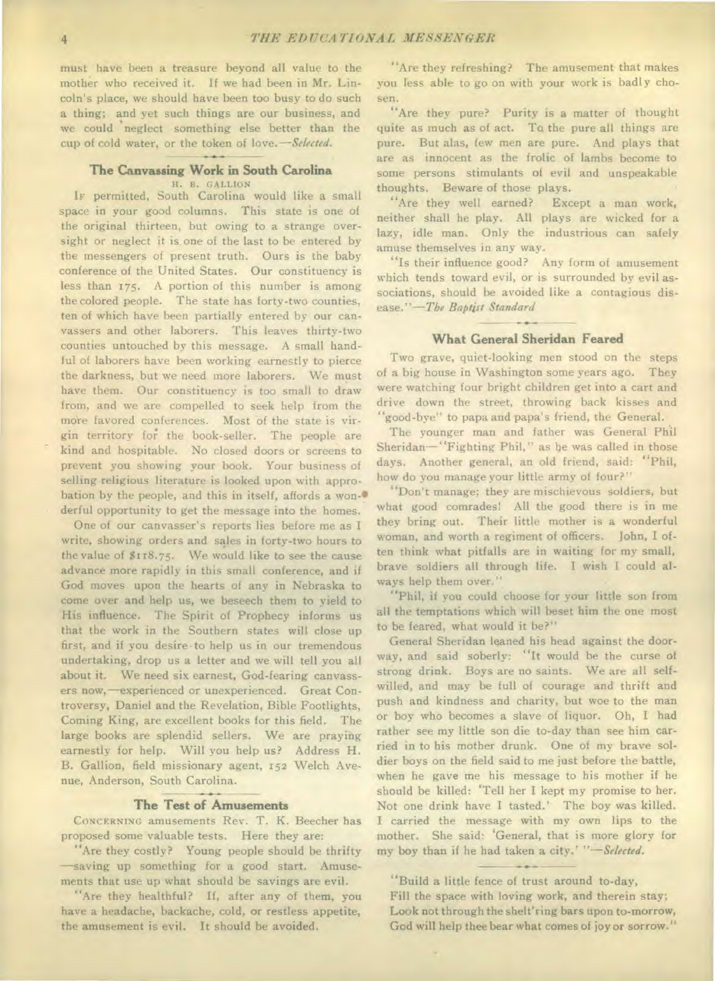must have been a treasure beyond all value to the mother who received it. If we had been in Mr. Lincoln's place, we should have been too busy to do such a thing; and yet such things are our business, and we could neglect something else better than the cup of cold water, or the token of love.—Selected.

## **The Canvassing Work in South Carolina**

H. B. GALLION

IF permitted, South Carolina would like a small space in your good columns. This state is one of the original thirteen, but owing to a strange oversight or neglect it is one of the last to be entered by the messengers of present truth. Ours is the baby conference of the United States. Our constituency is less than 175. A portion of this number is among the colored people. The state has forty-two counties, ten of which have been partially entered by our canvassers and other laborers. This leaves thirty-two counties untouched by this message. A small handful of laborers have been working earnestly to pierce the darkness, but we need more laborers. We must have them. Our constituency is too small to draw from, and we are compelled to seek help from the more favored conferences. Most of the state is virgin territory for. the book-seller. The people are kind and hospitable. No closed doors or screens to prevent you showing your book. Your business of selling religious literature is looked upon with approbation by the people, and this in itself, affords a won-• derful opportunity to get the message into the homes.

One of our canvasser's reports lies before me as I write, showing orders and sales in forty-two hours to the value of \$118.75. We would like to see the cause advance more rapidly in this small conference, and if God moves upon the hearts of any in Nebraska to come over and help us, we beseech them to yield to His influence. The Spirit of Prophecy informs us that the work in the Southern states will close up first, and if you desire to help us in our tremendous undertaking, drop us a letter and we will tell you all about it. We need six earnest, God-fearing canvassers now,—experienced or unexperienced. Great Controversy, Daniel and the Revelation, Bible Footlights, Coming King, are excellent books for this field. The large books are splendid sellers. We are praying earnestly for help. Will you help us? Address H. B. Gallion, field missionary agent, 152 Welch Avenue, Anderson, South Carolina.

## **The Test of Amusements**

CONCERNING amusements Rev. T. K. Beecher has proposed some valuable tests. Here they are:

"Are they costly? Young people should be thrifty —saving up something for a good start. Amusements that use up what should be savings are evil.

"Are they healthful? If, after any of them, you have a headache, backache, cold, or restless appetite, the amusement is evil. It should be avoided.

"Are they refreshing? The amusement that makes you less able to go on with your work is badly chosen.

"Are they pure? Purity is a matter of thought quite as much as of act. To the pure all things are pure. But alas, few men are pure. And plays that are as innocent as the frolic of lambs become to some persons stimulants of evil and unspeakable thoughts. Beware of those plays.

"Are they well earned? Except a man work, neither shall he play. All plays are wicked for a lazy, idle man. Only the industrious can safely amuse themselves in any way.

"Is their influence good? Any form of amusement which tends toward evil, or is surrounded by evil associations, should be avoided like a contagious disease."—The Baptist Standard

## **What General Sheridan Feared**

Two grave, quiet-looking men stood on the steps of a big house in Washington some years ago. They were watching four bright children get into a cart and drive down the street, throwing back kisses and "good-bye" to papa and papa's friend, the General.

The younger man and father was General Phil Sheridan—"Fighting Phil," as be was called in those days. Another general, an old friend, said: "Phil, how do you manage your little army of four?"

"Don't manage; they are mischievous soldiers, but what good comrades! All the good there is in me they bring out. Their little mother is a wonderful woman, and worth a regiment of officers. John, I often think what pitfalls are in waiting for my small, brave soldiers all through life. I wish I could always help them over."

"Phil, if you could choose for your little son from all the temptations which will beset him the one most to be feared, what would it be?"

General Sheridan leaned his head against the doorway, and said soberly: "It would be the curse of strong drink. Boys are no saints. We are all selfwilled, and may be full of courage and thrift and push and kindness and charity, but woe to the man or boy who becomes a slave of liquor. Oh, I had rather see my little son die to-day than see him carried in to his mother drunk. One of my brave soldier boys on the field said to me just before the battle, when he gave me his message to his mother if he should be killed: 'Tell her I kept my promise to her. Not one drink have I tasted.' The boy was killed. I carried the message with my own lips to the mother. She said: 'General, that is more glory for my boy than if he had taken a city.' *"—Selected.* 

"Build a little fence of trust around to-day, Fill the space with loving work, and therein stay; Look not through the shelt'ring bars upon to-morrow, God will help thee bear what comes of joy or sorrow."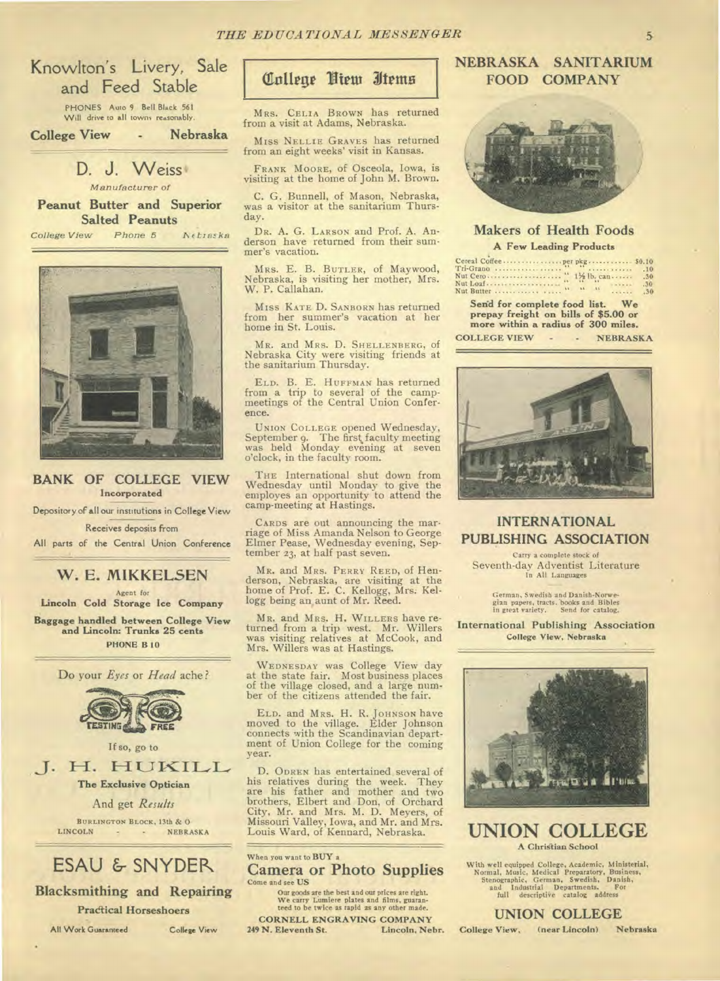# Knowlton's Livery, Sale and Feed Stable

PHONES Auto 9 Bell Black 561 Will drive to all towns reasonably.

**College View - Nebraska** 

# D. J. Weiss

Manufacturer of

**Peanut Butter and Superior Salted Peanuts** 

College View Phone 5 Netraska



## **BANK OF COLLEGE VIEW**  Incorporated

Depository of all our institutions in College View

Receives deposits from

All parts of the Central Union Conference

# **W. E. MIKKELSEN**

Agent for

Lincoln Cold Storage Ice Company

Baggage handled between College View and Lincoln: Trunks 25 cents PHONE B 10

Do your *Eyes* or *Head* ache?



If so, go to

J. H. HUKILL The Exclusive Optician

And get *Results* 

BURLINGTON BLOCK, 13th & O NEBRASKA

# ESAU & SNYDER

Blacksmithing and Repairing Pradical Horseshoers

All Work Guaranteed College View

# College Niem Items

MRS. CELIA BROWN has returned from a visit at Adams, Nebraska.

Miss NELLIE GRAVES has returned from an eight weeks' visit in Kansas.

FRANK MOORE, of Osceola, Iowa, is visiting at the home of John M. Brown.

C. G. Bunnell, of Mason, Nebraska, was a visitor at the sanitarium Thursday.

DR. A. G. LARSON and Prof. A. Anderson have returned from their summer's vacation.

MRS. E. B. BUTLER, of Maywood, Nebraska, is visiting her mother, Mrs. W. P. Callahan.

Miss KATE D. SANBORN has returned from her summer's vacation at her home in St. Louis.

MR. and MRS. D. SHELLENBERG, of Nebraska City were visiting friends at the sanitarium Thursday.

ELD. B. E. HUFFMAN has returned from a trip to several of the camp-meetings of the Central Union Conference.

UNION COLLEGE opened Wednesday, September 9. The first, faculty meeting was held Monday evening at seven o'clock, in the faculty room.

THE International shut down from Wednesday until Monday to give the employes an opportunity to attend the camp-meeting at Hastings.

CARDS are out announcing the marriage of Miss Amanda Nelson to George Elmer Pease, Wednesday evening, Sep-tember 23, at half past seven.

MR. and MRS. PERRY REED, of Henderson, Nebraska, are visiting at the home of Prof. E. C. Kellogg, Mrs. Kel-logg being an, aunt of Mr. Reed.

MR. and MRS. **H.** WILLERS have returned from a trip west. Mr. Willers was visiting relatives at McCook, and Mrs. Willers was at Hastings.

WEDNESDAY was College View day at the state fair. Most business places of the village closed, and a large number of the citizens attended the fair.

ELD. and MRS. H. R. JOHNSON have moved to the village. Elder Johnson connects with the Scandinavian department of Union College for the coming year.

D. ODREN has entertained several of his relatives during the week. They are his father and mother and two brothers, Elbert and Don, of Orchard City, Mr. and Mrs. M. D. Meyers, of Missouri Valley, Iowa, and Mr. and Mrs. Louis Ward, of Kennard, Nebraska.

Camera or Photo Supplies Come and see US Our goods are the best and our prices are right. We carry Lumiere plates and films, guaran-teed to be twice as rapid as any other made. When you want to BUY a

CORNELL ENGRAVING COMPANY<br>N. Eleventh St. Lincoln, Nebr. 249 N. Eleventh St.

# NEBRASKA SANITARIUM FOOD COMPANY



## Makers of Health Foods A Few Leading Products

|                                                                                                               | .10 |
|---------------------------------------------------------------------------------------------------------------|-----|
|                                                                                                               | .30 |
|                                                                                                               | .50 |
|                                                                                                               | .30 |
| Send for complete food list. We<br>prepay freight on bills of \$5.00 or<br>more within a radius of 300 miles. |     |

COLLEGE VIEW - · NEBRASKA



## **INTERNATIONAL PUBLISHING ASSOCIATION**

Carry a complete stock of Seventh-day Adventist Literature In All Languages

German, Swedish and Danish-Norwe-gian papers, tracts..books and Bibles in great variety. Send for catalog.

**International Publishing Association**  College View, Nebraska



UNION COLLEGE A Christian School

With well equipped College, Academic, Ministerial, Normal, Music, Medical Preparatory, Business, Stenographic, German, Swedish, Danish, and Industrial Departments. For full descriptive catalog address

**UNION COLLEGE** 

College View, (near Lincoln) Nebraska